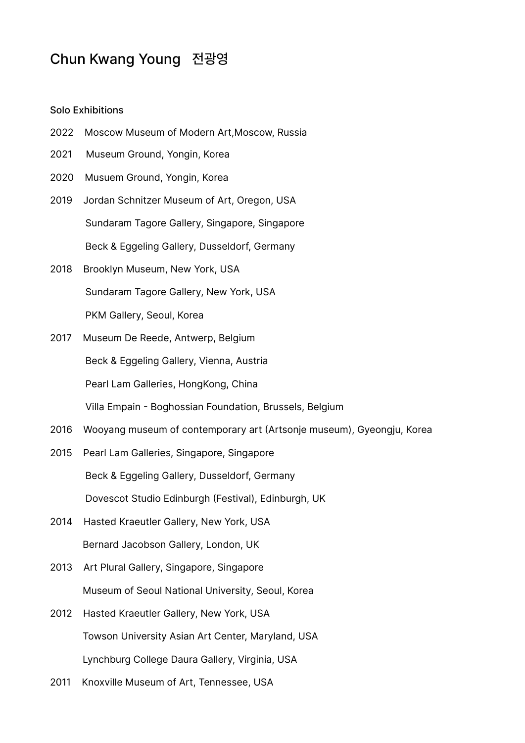## Chun Kwang Young 전광영

## Solo Exhibitions

- 2022 Moscow Museum of Modern Art,Moscow, Russia
- 2021 Museum Ground, Yongin, Korea
- 2020 Musuem Ground, Yongin, Korea
- 2019 Jordan Schnitzer Museum of Art, Oregon, USA Sundaram Tagore Gallery, Singapore, Singapore Beck & Eggeling Gallery, Dusseldorf, Germany
- 2018 Brooklyn Museum, New York, USA Sundaram Tagore Gallery, New York, USA PKM Gallery, Seoul, Korea
- 2017 Museum De Reede, Antwerp, Belgium Beck & Eggeling Gallery, Vienna, Austria Pearl Lam Galleries, HongKong, China Villa Empain - Boghossian Foundation, Brussels, Belgium
- 2016 Wooyang museum of contemporary art (Artsonje museum), Gyeongju, Korea
- 2015 Pearl Lam Galleries, Singapore, Singapore Beck & Eggeling Gallery, Dusseldorf, Germany Dovescot Studio Edinburgh (Festival), Edinburgh, UK
- 2014 Hasted Kraeutler Gallery, New York, USA Bernard Jacobson Gallery, London, UK
- 2013 Art Plural Gallery, Singapore, Singapore Museum of Seoul National University, Seoul, Korea
- 2012 Hasted Kraeutler Gallery, New York, USA Towson University Asian Art Center, Maryland, USA Lynchburg College Daura Gallery, Virginia, USA
- 2011 Knoxville Museum of Art, Tennessee, USA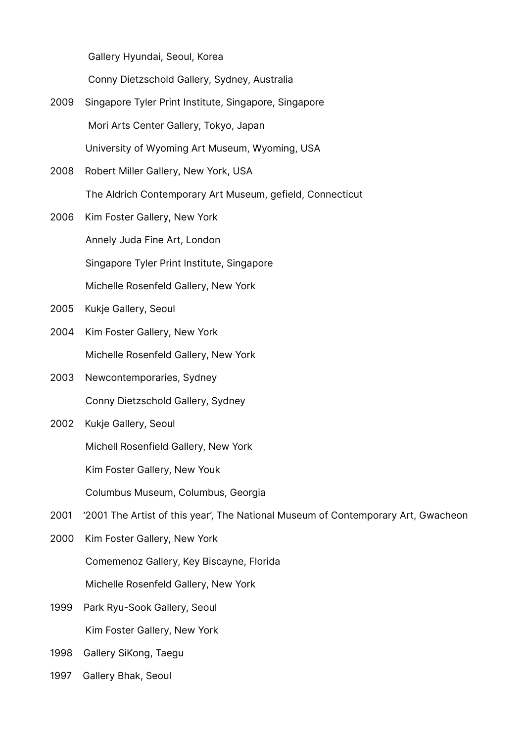Gallery Hyundai, Seoul, Korea

Conny Dietzschold Gallery, Sydney, Australia

- 2009 Singapore Tyler Print Institute, Singapore, Singapore Mori Arts Center Gallery, Tokyo, Japan University of Wyoming Art Museum, Wyoming, USA
- 2008 Robert Miller Gallery, New York, USA The Aldrich Contemporary Art Museum, gefield, Connecticut
- 2006 Kim Foster Gallery, New York Annely Juda Fine Art, London Singapore Tyler Print Institute, Singapore Michelle Rosenfeld Gallery, New York
- 2005 Kukje Gallery, Seoul
- 2004 Kim Foster Gallery, New York Michelle Rosenfeld Gallery, New York
- 2003 Newcontemporaries, Sydney Conny Dietzschold Gallery, Sydney
- 2002 Kukje Gallery, Seoul

Michell Rosenfield Gallery, New York

Kim Foster Gallery, New Youk

Columbus Museum, Columbus, Georgia

- 2001 '2001 The Artist of this year', The National Museum of Contemporary Art, Gwacheon
- 2000 Kim Foster Gallery, New York Comemenoz Gallery, Key Biscayne, Florida Michelle Rosenfeld Gallery, New York
- 1999 Park Ryu-Sook Gallery, Seoul Kim Foster Gallery, New York
- 1998 Gallery SiKong, Taegu
- 1997 Gallery Bhak, Seoul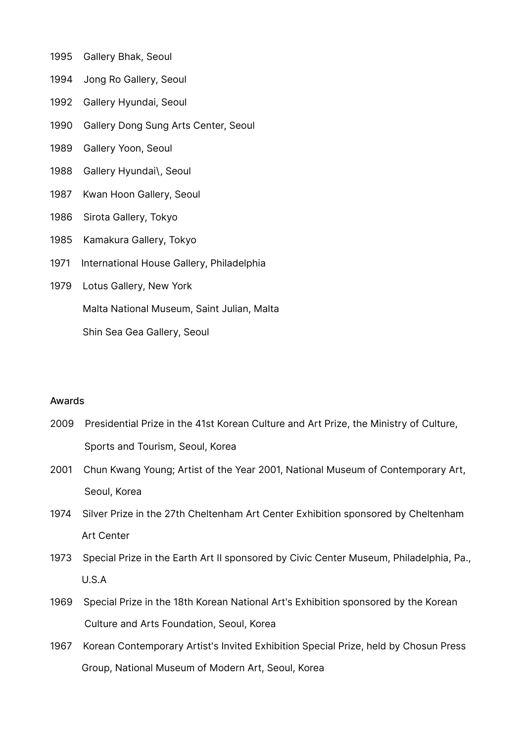- 1995 Gallery Bhak, Seoul
- 1994 Jong Ro Gallery, Seoul
- 1992 Gallery Hyundai, Seoul
- 1990 Gallery Dong Sung Arts Center, Seoul
- 1989 Gallery Yoon, Seoul
- 1988 Gallery Hyundai\, Seoul
- 1987 Kwan Hoon Gallery, Seoul
- 1986 Sirota Gallery, Tokyo
- 1985 Kamakura Gallery, Tokyo
- 1971 International House Gallery, Philadelphia
- 1979 Lotus Gallery, New York

Malta National Museum, Saint Julian, Malta

Shin Sea Gea Gallery, Seoul

## Awards

- 2009 Presidential Prize in the 41st Korean Culture and Art Prize, the Ministry of Culture, Sports and Tourism, Seoul, Korea
- 2001 Chun Kwang Young; Artist of the Year 2001, National Museum of Contemporary Art, Seoul, Korea
- 1974 Silver Prize in the 27th Cheltenham Art Center Exhibition sponsored by Cheltenham Art Center
- 1973 Special Prize in the Earth Art II sponsored by Civic Center Museum, Philadelphia, Pa., U.S.A
- 1969 Special Prize in the 18th Korean National Art's Exhibition sponsored by the Korean Culture and Arts Foundation, Seoul, Korea
- 1967 Korean Contemporary Artist's Invited Exhibition Special Prize, held by Chosun Press Group, National Museum of Modern Art, Seoul, Korea